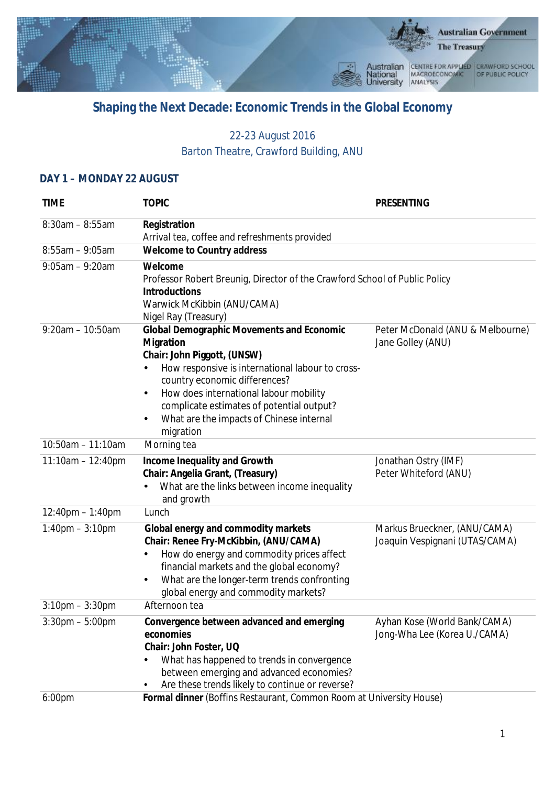

## **Shaping the Next Decade: Economic Trends in the Global Economy**

## 22-23 August 2016 Barton Theatre, Crawford Building, ANU

## **DAY 1 – MONDAY 22 AUGUST**

| <b>TIME</b>           | <b>TOPIC</b>                                                                                                                                                                                                                                                                                                                                   | <b>PRESENTING</b>                                              |
|-----------------------|------------------------------------------------------------------------------------------------------------------------------------------------------------------------------------------------------------------------------------------------------------------------------------------------------------------------------------------------|----------------------------------------------------------------|
| $8:30$ am - $8:55$ am | Registration<br>Arrival tea, coffee and refreshments provided                                                                                                                                                                                                                                                                                  |                                                                |
| $8:55am - 9:05am$     | <b>Welcome to Country address</b>                                                                                                                                                                                                                                                                                                              |                                                                |
| $9:05am - 9:20am$     | Welcome<br>Professor Robert Breunig, Director of the Crawford School of Public Policy<br><b>Introductions</b><br>Warwick McKibbin (ANU/CAMA)<br>Nigel Ray (Treasury)                                                                                                                                                                           |                                                                |
| $9:20$ am - 10:50am   | <b>Global Demographic Movements and Economic</b><br>Migration<br>Chair: John Piggott, (UNSW)<br>How responsive is international labour to cross-<br>country economic differences?<br>How does international labour mobility<br>$\bullet$<br>complicate estimates of potential output?<br>What are the impacts of Chinese internal<br>migration | Peter McDonald (ANU & Melbourne)<br>Jane Golley (ANU)          |
| 10:50am - 11:10am     | Morning tea                                                                                                                                                                                                                                                                                                                                    |                                                                |
| $11:10am - 12:40pm$   | Income Inequality and Growth<br>Chair: Angelia Grant, (Treasury)<br>What are the links between income inequality<br>and growth                                                                                                                                                                                                                 | Jonathan Ostry (IMF)<br>Peter Whiteford (ANU)                  |
| $12:40$ pm $-1:40$ pm | Lunch                                                                                                                                                                                                                                                                                                                                          |                                                                |
| $1:40$ pm $-3:10$ pm  | Global energy and commodity markets<br>Chair: Renee Fry-McKibbin, (ANU/CAMA)<br>How do energy and commodity prices affect<br>financial markets and the global economy?<br>What are the longer-term trends confronting<br>$\bullet$<br>global energy and commodity markets?                                                                     | Markus Brueckner, (ANU/CAMA)<br>Joaquin Vespignani (UTAS/CAMA) |
| $3:10$ pm $-3:30$ pm  | Afternoon tea                                                                                                                                                                                                                                                                                                                                  |                                                                |
| $3:30$ pm $-5:00$ pm  | Convergence between advanced and emerging<br>economies<br>Chair: John Foster, UQ<br>What has happened to trends in convergence<br>between emerging and advanced economies?<br>Are these trends likely to continue or reverse?                                                                                                                  | Ayhan Kose (World Bank/CAMA)<br>Jong-Wha Lee (Korea U./CAMA)   |
| 6:00pm                | Formal dinner (Boffins Restaurant, Common Room at University House)                                                                                                                                                                                                                                                                            |                                                                |